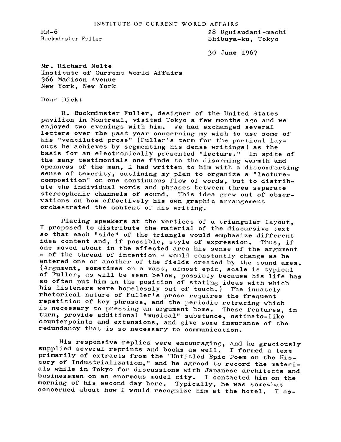INSTITUTE OF CURRENT WORLD AFFAIRS

RR-6 28 Ugui sudani-machi Shibuya-ku, Tokyo

30 June 1967

Mr. Richard Nolte Institute of Current World Affairs 366 Madison Avenue New York, New York

Dear Dick:

R. Buckminster Fuller, designer of the United States pavilion in Montreal, visited Tokyo a few months ago and we enjoyed two evenings with him. We had exchanged several letters over the past year concerning my wish to use some of his "ventilated prose" (Fuller's term for the poetical layouts he achieves by segmenting his dense writings) as the basis for an electronically presented "lecture." In spite of the many testimonials one finds to the disarming warmth and openness of the man, I had written to him with a discomforting sense of temerity, outlining my plan to organize a "lecturecomposition" on one continuous flow of words, but to distribute the individual words and phrases between three separate stereophonic channels of sound. This idea grew out of observations on how effectively his own graphic arrangement orchestrated the content of his writing.

Placing speakers at the vertices of a triangular layout, I proposed to distribute the material of the discursive text so that each "side" of the triangle would emphasize different idea content and, if possible, style of expression. Thus, if one moved about in the affected area his sense of the argument - of the thread of intention - would constantly change as he entered one or another of the fields created by the sound axes. (Argument, sometimes on a vast, almost epic, scale is typical of Fuller, as will be seen below, possibly because his life has so often put him in the position of stating ideas with which his listeners were hopelessly out of touch.) The innately rhetorical nature of Fuller's prose requires the frequent repetition of key phrases, and the periodic retracing which is necessary to pressing an argument home. These features, in turn, provide additional "musical" substance, ostinato-like counterpoints and extensions, and give some insurance of the redundancy that is so necessary to communication.

His responsive replies were encouraging, and he graciously supplied several reprints and books as well. <sup>I</sup> formed <sup>a</sup> text primarily of extracts from the "Untitled Epic Poem on the History of Industrialization," and he agreed to record the materials while in Tokyo for discussions with Japanese architects and businessmen on an enormous model city. I contacted him on the morning of his second day here. Typically, he was somewhat morning of his second day here. concerned about how <sup>I</sup> would recognize him at the hotel. <sup>I</sup> as-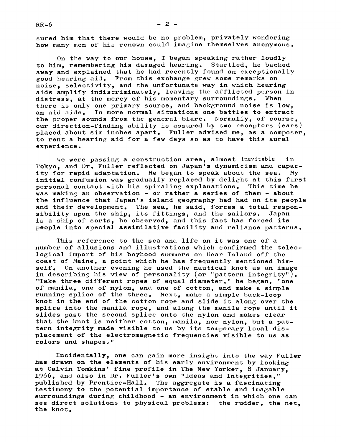sured him that there would be no problem, privately wondering how many men of his renown could imagine themselves anonymous.

On the way to our house, I began speaking rather loudly to him, remembering his damaged hearing. Startled, he backed away and explained that he had recently found an exceptionally good hearing aid. From this exchange grew some remarks on noise, selectivity, and the unfortunate way in which hearing aids amplify indiscriminately, leaving the afflicted person in distress, at the mercy of his momentary surroundings. When there is only one primary source, and background noise is low, an aid aids. In more normal situations one battles to extract the proper sounds from the general blare. Normally, of course, our direction-finding ability is assured by two receptors (ears) placed about six inches apart. Fuller advised me, as a composer, to rent a hearing aid for a few days so as to have this aural experience.

we were passing a construction area, almost inevitable in 'l'okyo, and Dr. Fuller reflected on Japan's dynamicism and capacity for rapid adaptation. He began to speak about the sea. My initial confusion was gradually replaced by delight at this first<br>personal contact with his spiraling explanations. This time he personal contact with his spiraling explanations. was making an observation  $-$  or rather a series of them  $-$  about the influence that Japan's island geography had had on its people and their development. The sea, he said, forces a total respon-<br>sibility upon the ship. its fittings. and the sailors. Japan sibility upon the ship, its fittings, and the sailors. is a ship of sorts, he observed, and this fact has forced its people into special assimilative facility and reliance patterns.

This reference to the sea and life on it was one of a number of allusions and illustrations which confirmed the teleological import of his boyhood summers on Bear Island off the coast of Maine, a point which he has frequently mentioned himself. On another evening he used the nautical knot as an image in describing his view of personality (or "pattern integrity"). "Take three different ropes of equal diameter," he began, "one of manila, one of nylon, and one of cotton, and make a simple running splice of the three. Next, make a simple back-loop knot in the end of the cotton rope and slide it along over the splice into the manila rope, and along the manila rope until it slides past the second splice onto the nylon and makes clear that the knot is neither cotton, manila, nor nylon, but a pattern integrity made visible to us by its temporary local displacement of the electromagnetic frequencies visible to us as colors and shapes."

Incidentally, one can gain more insight into the way Fuller has drawn on the elements of his early environment by looking at Calvin Tomkins' fine profile in The New Yorker, 8 January, 1966, and also in Dr. Fuller's own "Ideas and Integrities," published by Prentice-Hall. The aggregate is a fascinating testimony to the potential importance of stable and imagable surroundings during childhood - an environment in which one can see direct solutions to physical problems: the rudder, the net. the knot.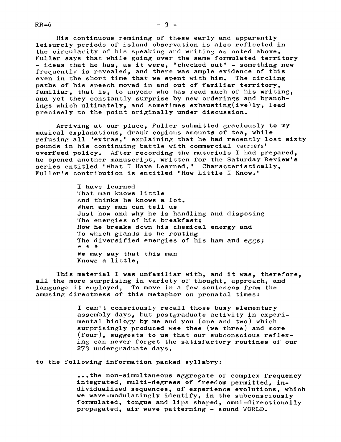His continuous remining of these early and apparently leisurely periods of island observation is also reflected in the circularity of his speaking and writing as noted above. Fuller says that while going over the same formulated territory - ideas that he has, as it were, "checked out" - something new frequently is revealed, and there was ample evidence of this even in the short time that we spent with him. The circling even in the short time that we spent with him. paths of his speech moved in and out of familiar territory, familiar, that is, to anyone who has read much of his writing, and yet they constantly surprise by new orderings and branchings which ultimately, and sometimes exhausting (ive)ly, lead precisely to the point originally under discussion.

Arriving at our place, Fuller submitted graciously to my musical explanations, drank copious amounts of tea, while refusing all "extras," explaining that he had recently lost sixty pounds in his continuing battle with commercial carriers' overfeed policy. After recording the materials I had prepared, he opened another manuscript, written for the Saturday Review's series entitled "What I Have Learned." Characteristically, Fuller's contribution is entitled "How Little I Know."

> I have learned That man knows little And thinks he knows a lot. when any man can tell us Just how and why he is handling and disposing The energies of his breakfast; How he breaks down his chemical energy and To which glands is he routing The diversified energies of his ham and eggs;<br>\* \* \* We may say that this man Knows a little,

This material I was unfamiliar with, and it was, therefore, all the more surprising in variety of thought, approach, and language it employed, To move in a few sentences from the amusing directness of this metaphor on prenatal times:

> I can't consciously recall those busy elementary assembly days, but postgraduate activity in experimental biology by me and you (one and two) which surprisingly produced wee thee (we three) and more (four), suggests to us that our subconscious reflexing can never forget the satisfactory routines of our 273 undergraduate days.

to the following information packed syllabry:

...the non-simultaneous aggregate of complex frequency integrated, multi-degrees of freedom permitted, individualized sequences, of experience evolutions, which we wave-modulatingly identify, in the subconsciously formulated, tongue and lips shaped, omni-directionally propagated, air wave patterning  $-$  sound WORLD.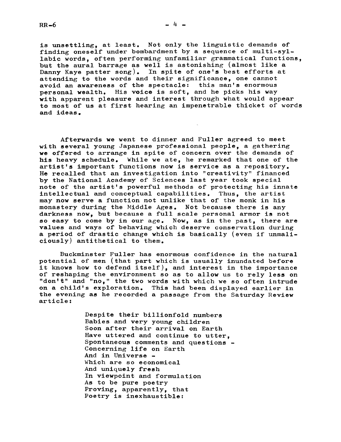is unsettling, at least. Not only the linguistic demands of finding oneself under bombardment by a sequence of multi-syllabic words, often performing unfamiliar grammatical functions, but the aural barrage as well is astonishing (almost like a Danny Kaye patter song). In spite of one's best efforts at attending to the words and their significance, one cannot avoid an awareness of the spectacle: this man's enormous personal wealth. His voice is soft, and he picks his way with apparent pleasure and interest through what would appear to most of us at first hearing an impenetrable thicket of words and ideas.

Afterwards we went to dinner and Fuller agreed to meet with several young Japanese professional people, a gathering we offered to arrange in spite of concern over the demands of his heavy schedule. While we ate, he remarked that one of the artist's important functions now is service as a repository. He recalled that an investigation into "creativity" financed by the National Academy of Sciences last year took special note of the artist's powerful methods of protecting his innate intellectual and conceptual capabilities. Thus, the artist may now serve a function not unlike that of the monk in his monastery during the Middle Ages. Not because there is any darkness now, but because a full scale personal armor is not so easy to come by in our age. Now, as in the past, there are values and ways of behaving which deserve conservation during a period of drastic change which is basically (even if unmaliciously) antithetical to them.

Buckminster Fuller has enormous confidence in the natural potential of men (that part which is usually inundated before it knows how to defend itself), and interest in the importance of reshaping the environment so as to allow us to rely less on "don't" and "no," the two words with which we so often intrude on a child's exploration. This had been displayed earlier in the evening as he recorded a passage from the Saturday Review article

> Despite their billionfold numbers Babies and very young children Soon after their arrival on Earth Have uttered and continue to utter, Spontaneous comments and questions -Concerning life on Earth And in Universe Which are so economical And uniquely fresh In viewpoint and formulation As to be pure poetry Proving, apparently, that Poetry is inexhaustible:

 $-4 -$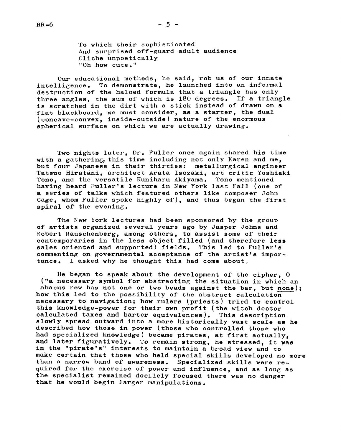To which their sophisticated And surprised off-guard adult audience Cliche unpoetically "Oh how cute."

Our educational methods, he said, rob us of our innate intelligence. To demonstrate, he launched into an informal destruction of the haloed formula that a triangle has only three angles, the sum of which is 180 degrees. If a triangle is scratched in the dirt with a stick instead of drawn on a flat blackboard, we must consider, as a starter, the dual (concave-convex, inside-outslde) nature of the enormous spherical surface on which we are actually drawing.

Two nights later, Dr. Fuller once again shared his time with a gathering, this time including not only Karen and me, but four Japanese in their thirties: metallurgical engineer Tatsuo Hiratani, architect Arata Isozaki, art critic Yoshiaki Tono, and the versatile Kuniharu Akiyama. Tono mentioned having heard Fuller's lecture in New York last Fall (one of a series of talks which featured others like composer John Cage, whom Fuller spoke highly of), and thus began the first spiral of the evening.

The New York lectures had been sponsored by the group of artists organized several years ago by Jasper Johns and Robert Rauschenberg, among others, to assist some of their contemporaries in the less object filled (and therefore less sales oriented and supported) fields. This led to Fuller's commenting on governmental acceptance of the artist's importance. I asked why he thought this had come about

He began to speak about the development of the cipher, 0 ("a necessary symbol for abstracting the situation in which an abacus row has not one or two beads against the bar, but none); how this led to the possibility of the abstract calculation necessary to navigation; how rulers (priests) tried to control this knowledge-power for their own profit (the witch doctor calculated taxes and barter equivalences). This description slowly spread outward into a more historically vast scale as he described how those in power (those who controlled those who had specialized knowledge) became pirates, at first actually. and later figuratively. To remain strong, he stressed, it was in the "pirate's" interests to maintain a broad view and to make certain that those who held special skills developed no more than a narrow band of awareness. Specialized skills were required for the exercise of power and influence, and as long as the specialist remained docilely focused there was no danger that he would begin larger manipulations.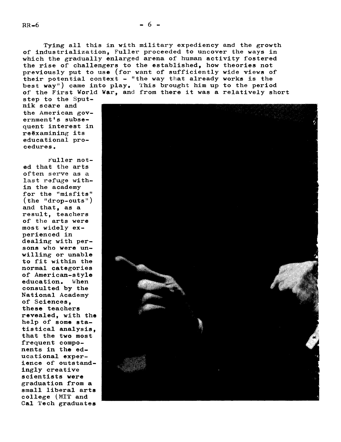Tying all this in with military expediency and the growth of industrialization, Fuller proceeded to uncover the ways in which the gradually enlarged arena of human activity fostered the rise of challengers to the established, how theories not previously put to use (for want of sufficiently wide views of their potential context - "the way that already works is the best way") came into play. This brought him up to the period of the First World War, and from there it was a relatively short

step to the Sputnik scare and the American government's subsequent interest in reexamining its educational procedures.

Fuller noted that the arts often serve as a last refuge within the academy for the "misfits" (the "drop-outs") and that, as a result, teachers of the arts were most widely experienced in dealing with persons who were unwilling or unable to fit within the normal categories of American-style education. When consulted by the National Academy of Sciences, these teachers revealed, with the help of some statistical analysis. that the two most frequent components in the educational experience of outstandingly creative scientists were graduation from a small liberal arts college (MIT and Cal Tech graduates

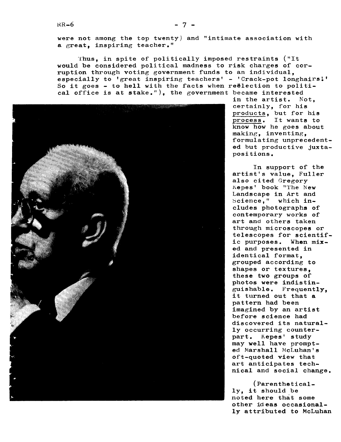were not among the top twenty) and "intimate association with a great, inspiring teacher."

Thus, in spite of politically imposed restraints ("It would be considered political madness to risk charges of corruption through voting government funds to an individual, especially to 'great inspiring teachers' - 'Crack-pot longhairs!' So it goes - to hell with the facts when reëlection to political office is at stake."), the government became interested



in the artist. Not, certainly, for his products, but for his process. It wants to know how he goes about making, inventing, formulating unprecedented but productive juxtapositions.

In support of the artist's value, Fuller also cited Gregory Kepes' book "The New Landscape in Art and Science," which includes photographs of contemporary works of art and others taken through microscopes or telescopes for scientific purposes. When mixed and presented in identical format, grouped according to shapes or textures. these two groups of photos were indistinguishable. Frequently, it turned out that a pattern had been imagined by an artist before science had discovered its naturally occurring counterpart. Kepes' study may well have prompted Marshall McLuhan's oft-quoted view that art anticipates technical and social change.

(Parenthetically, it should be noted here that some other ideas occasionally attributed to McLuhan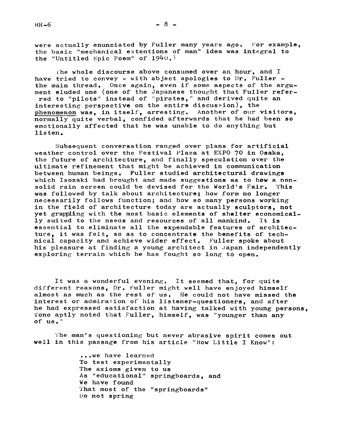were actually enunciated by Fuller many years ago. For example, the basic "mechanical extentions of man" idea was integral to the "Untitled Epic Poem" of  $1940.$ )

The whole discourse above consumed over an hour, and I have tried to convey - with abject apologies to  $Dr$ . Fuller the main thread. Once again, even if some aspects of the argument eluded one (one of the Japanese thought that Fuller referred to "pilots" instead of "pirates," and derived quite an interesting perspective on the entire discussion), the phenomenon was, in itself, arresting. Another of our visitors, normally quite verbal, confided afterwards that he had been so emotionally affected that he was unable to do anything but listen.

Subsequent conversation ranged over plans for artificial weather control over the Festival Plaza at EXP0 70 in Osaka, the future of architecture, and finally speculation over the ultimate refinement that might be achieved in communication between human beings. Fuller studied architectural drawings which Isozaki had brought and made suggestions as to how a non-<br>solid rain screen could be devised for the World's Fair. This solid rain screen could be devised for the World's Fair. was followed by talk about architecture; how form no longer necessarily follows function; and how so many persons working in the field of architecture today are actually sculptors, not yet grappling with the most basic elements of shelter economically suited to the needs and resources of all mankind. It is essential to eliminate all the expendable features of architecture, it was felt, so as to concentrate the benefits of technical capacity and achieve wider effect. Fuller spoke about his pleasure at finding a young architect in Japan independently exploring terrain which he has fought so long to open.

It was a wonderful evening. It seemed that, for quite different reasons, Dr. Fuller might well have enjoyed himself almost as much as the rest of us. He could not have missed the interest or admiration of his listener-questioners, and after he had expressed satisfaction at having talked with young persons, 'fono aptly noted that Fuller, himself, was "younger than any Of US. "

The man's questioning but never abrasive spirit comes out well in this passage from his article "How Little I Know":

> ...we have learned To test experimentally The axioms given to us As "educational" springboards, and We have found That most of the "springboards" Do not spring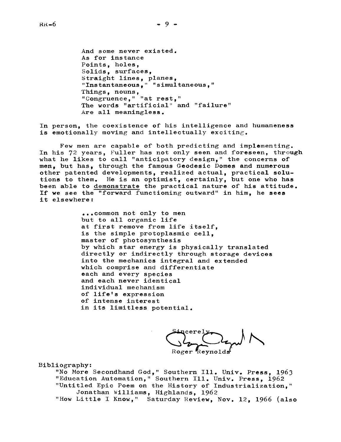Points, holes, Solids, surfaces, Straight lines, planes, "Instantaneous, " "simultaneous, " Things, nouns, "Congruence," "at rest," The words "artificial" and "failure" Are all meaningless.

In person, the coexistence of his intelligence and humaneness is emotionally moving and intellectually exciting.

Few men are capable of both predicting and implementing. In his 72 years, Fuller has not only seen and foreseen, through what he likes to call "anticipatory design," the concerns of men, but has, through the famous Geodesic Domes and numerous other patented developments, realized actual, practical solutions to them. He is an optimist, certainly, but one who has been able to demonstrate the practical nature of his attitude. If we see the "forward functioning outward" in him, he sees it elsewhere

> ..common not only to men but to all organic life at first remove from life itself, is the simple protoplasmic cell, master of photosynthesis by which star energy is physically translated directly or indirectly through storage devices into the mechanics integral and extended which comprise and differentiate each and every species and each never identical individual mechanism of life's expression of intense interest in its limitless potential.

Bibliography:

"No More Secondhand God," Southern Ill. Univ. Press, 1963 "Education Automation," Southern Ill. Univ. Press, 1962 "Untitled Epic Poem on the History of Industrialization," Jonathan Williams, Highlands, 1962 "How Little I Know," Saturday Review, Nov. 12, 1966 (also